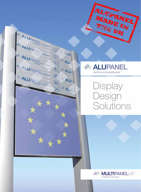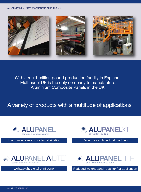

With a multi-million pound production facility in England, Multipanel UK is the only company to manufacture Aluminium Composite Panels in the UK

# A variety of products with a multitude of applications



The number one choice for fabrication **Perfect for architectural cladding** 









Lightweight digital print panel Reduced weight panel ideal for flat application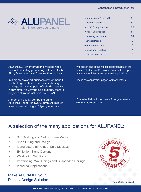

| Introduction to ALUPANEL     | 3              |
|------------------------------|----------------|
| Why use ALUPANEL?            | $\overline{4}$ |
| <b>ALUPANEL Applications</b> | $5 - 7$        |
| <b>Product Composition</b>   | 8              |
| <b>Processing Techniques</b> | $9 - 11$       |
| <b>Technical Details</b>     | 12             |
| <b>General Information</b>   | 13             |
| <b>Storage and Handling</b>  | 14             |
| <b>Standard Color Chart</b>  | 15             |

ALUPANEL - An internationally recognised product providing pioneering solutions to the Sign, Advertising and Construction markets.

In a highly crowded business environment it is vital to get noticed. From eye catching signage, innovative point of sale displays to highly effective wayfinding solutions, there is only one all round solution – ALUPANEL.

3 sheets, sandwiching a Polyethylene core. A premium quality composite panel, ALUPANEL features two 0.30mm Aluminium Available in one of the widest colour ranges on the market, all standard PE colours come with a 5 year guarantee for internal and external applications\*.

Please see application pages for more details.

\*Brushed and Mirror finished have a 5 year guarantee for INTERNAL application only.

# A selection of the many applications for ALUPANEL:

- Sign Making and Out of Home Media
- **Shop Fitting and Design**
- Manufacture of Point of Sale Displays
- **Exhibition Stand Designs**
- Wayfinding Solutions
- Partitioning, Wall Linings and Suspended Ceilings
- Industrial Applications

Make ALUPANEL your Display Design Solution.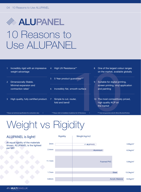# **SEALUPANEL** 10 Reasons to Use ALUPANEL

| Incredibly rigid with an impressive<br>weight advantage    | High UV Resistance**<br>$\overline{4}$                       | One of the largest colour ranges<br>8<br>on the market, available globally             |
|------------------------------------------------------------|--------------------------------------------------------------|----------------------------------------------------------------------------------------|
| Dimensionally Stable.<br>$\overline{2}$                    | 5 Year product guarantee***<br>5 <sup>1</sup>                | $\overline{9}$<br>Suitable for digital printing,                                       |
| Minimal expansion and<br>contraction rates*                | Incredibly flat, smooth surface<br>6                         | screen printing, vinyl application<br>and painting                                     |
| High quality, fully certified product.<br>3                | Simple to cut, router,<br><sup>7</sup><br>fold and bend!     | The most competitively priced,<br>10 <sup>°</sup><br>high quality ACP on<br>the market |
| * Please see technical specification for contraction rates | ** Please refer to Installation Guidelines for UV Resistance | *** Internal guarantee only for Mirror/Brushed finishes                                |
| $\lambda$ $\sim$ $\sim$ $\pm$<br>$\sim$                    |                                                              |                                                                                        |

# Weight vs Rigidity

### **ALUPANEL is light!**

At equal rigidity of the materials shown, ALUPANEL is the lightest per M2!

|                   | <b>Rigidity</b> | Weight kg/m2      |                         |                          |
|-------------------|-----------------|-------------------|-------------------------|--------------------------|
| 3 <sub>mm</sub>   |                 | <b>ALUPANEL</b>   |                         | $3.8$ kg/m <sup>2</sup>  |
| 2.4 <sub>mm</sub> |                 | Aluminium         |                         | $6.5$ kg/m <sup>2</sup>  |
| 11.1mm            |                 | <b>Foamed PVC</b> |                         | $5.6$ kg/m <sup>2</sup>  |
| 1.7 <sub>mm</sub> |                 |                   | <b>Steel</b>            | $13.3$ kg/m <sup>2</sup> |
| 6.8mm             |                 |                   | <b>Acrylic Material</b> | $8.2$ kg/m <sup>2</sup>  |
|                   |                 |                   |                         |                          |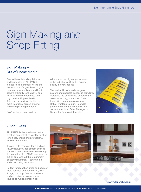# Sign Making and Shop Fitting

## **Sign Making + Out of Home Media**

**Sign Making +**<br> **Out of Home Media**<br>
Due to the outstanding flatness<br>
and formability of ALUPANEL,<br>
it lends itself extremely well to the<br>
manufacture of signs. Direct dig<br>
print and vinyl application will be<br>
adhere bril and formability of ALUPANEL, it lends itself extremely well to the manufacture of signs. Direct digital print and vinyl application will both adhere brilliantly to the panel due to it's extreme smoothness and high quality PE paint finish. This also makes it perfect for the more traditional screen printing and hand painting methods.

*\*MOQ applies to colour matching*

With one of the highest gloss levels in the industry, ALUPANEL exudes quality in every aspect.

The availability of a wide range of colours and special finishes, as standard, increases the possibilities of corporate colour matching, but it doesn't end there! We can match almost any RAL or Pantone Colour\*, to create perfect colour matched panels, just contact your local Sales Manager or Distributor for more information.



### **Shop Fitting**

ALUPANEL is the ideal solution for creating cost effective, quality finishes for offices, shops and professional retail environments.

The ability to machine, form and cut ALUPANEL provides almost endless solutions and possibilities to the shop fitting market. ALUPANEL can even be cut on site, without the requirement of heavy machinery – saving time and cost during installation.

Perfect for reception areas and counter tops, cubicles and partitioning, wall linings, cladding, feature bulkheads and even kitchen splash backs (due to its hygiene properties).



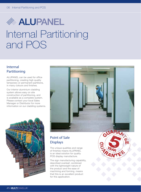# **ALUPANEL** Internal Partitioning and POS

## **Internal Partitioning**

ALUPANEL can be used for office partitioning, creating high quality temporary or permanent partitions, in many colours and finishes.

Our interior aluminium cladding system allows easy on site construction of partitioning, and is available as a complete system. Please contact your local Sales Manager or Distributor for more information on our cladding systems.





# **Point of Sale Displays**

The unique qualities and range of finishes means ALUPANEL is an ideal solution for quality POS display manufacture.

The sign manufacturing capability, described overleaf, combined with the lightweight nature of the product and the ease of machining and forming, means that this is an excellent product for this application.

![](_page_5_Picture_10.jpeg)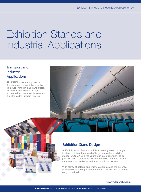# Exhibition Stands and Industrial Applications

# **Transport and Industrial Applications**

ALUPANEL is commonly used in Transport and Industrial applications, from wall linings in trains and buses, to internal and external linings of articulated and commercial vehicles. It is also widely used in flooring.

![](_page_6_Picture_4.jpeg)

![](_page_6_Picture_5.jpeg)

### **Exhibition Stand Design**

At Exhibition and Trade fairs, it is an even greater challenge to stand out from the crowd of large, innovative exhibition stands. ALUPANEL gives you the unique opportunity to do just this, with a panel that will create a solid and hard wearing structure, that can be moved from location to location.

With plenty of colours and finishes available and the potential to create outstanding 3D structures, ALUPANEL will be sure to get you noticed.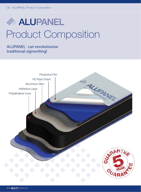# **ALUPANEL** Product Composition

# **ALUPANEL® can revolutionise traditional signwriting!**

![](_page_7_Figure_3.jpeg)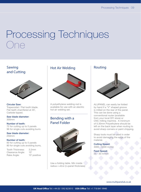# Processing Techniques One

**Sawing and Cutting**

![](_page_8_Picture_3.jpeg)

Circular Saw: Trapezoidal / Flat tooth blade. Flat teeth chamfered at 45˚, Carbide tipped.

Saw blade diameter: 300mm

Number of teeth: 72 for cutting up to 5 panels 96 for single cuts avoiding burrs

Saw blade diameter: 250mm

#### Number of teeth:

60 for cutting up to 5 panels 80 for single cuts avoiding burrs,

Tooth Thickness: 3.2mm Clearance Angle: 15° Rake Angle: 10° positive

# **Hot Air Welding**

![](_page_8_Picture_12.jpeg)

A polyethylene welding rod is available for use with an electric hot air welding set.

### **Bending with a Panel Folder**

![](_page_8_Picture_15.jpeg)

Use a folding table. Min inside radius **r**=**40**x**t** (**t**=panel thickness)

### **Routing**

![](_page_8_Picture_18.jpeg)

ALUPANEL can easily be folded by hand if a "V" shaped groove is milled on the rear of the panel. This can be done using a conventional router (available from your local DIY store) or CNC milling machine. A minimum of 0.30mm Polyethylene should be left on the back layer when routing to avoid sharp corners or paint chipping.

Sharp tools must be used in order to avoid damaging the edge of the material.

Cutting Speed: 3000 - 5000 m/min

Feed Speed: 25 - 30 m/min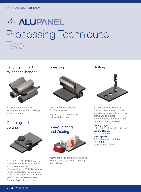# **SEALUPANEL** Processing Techniques Two

**Bending with a 3** Shearing **Drilling roller panel bender**

![](_page_9_Picture_3.jpeg)

3-Roller panel bender is recommended for bending large internal diameters.

# **Clamping and Bolting**

![](_page_9_Picture_6.jpeg)

3mm & 4mm ALUPANEL can be clamped with a serrated corner joint and butt sections. When bolting, e=2D is the formula to use to calculate the distance of fixing to the end of the panel. For external use please refer to our Thermal Expansion document

### **Shearing**

![](_page_9_Picture_9.jpeg)

Use a standard guillotine for this purpose.

Ensure the top cover sheet is inserted properly.

# **Spray Painting and Coating**

![](_page_9_Picture_13.jpeg)

Standard air drying painting acrylic or two part polyurethane coatings are suitable.

![](_page_9_Picture_16.jpeg)

ALUPANEL is easily drilled - For best results, use drill bits specifically designed for drilling aluminium and plastic. For large holes, a drill bit with a locating point is required.

#### Cutting angle:

100˚ - 140˚ Helix angle : 30˚ - 50˚ Cutting Speed: 50 - 300 m/min Feed Speed: 0.02 - 0.5mm / Revolution Hole Size: Screw width + 2mm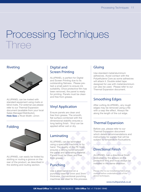# Processing Techniques Three

### **Riveting**

![](_page_10_Picture_3.jpeg)

ALUPANEL can be riveted with standard equipment using rivets or blind rivets. For external use please refer to our Thermal Expansion document (available from your local Sales Manager/Distributor). Hole  $Size = River$  Width  $+2mm$ 

# **Folding**

![](_page_10_Picture_6.jpeg)

ALUPANEL can easily be folded by slotting or routing a groove on the rear of the product, as described in the slotting and routing section.

# **Digital and Screen Printing**

ALUPANEL is perfect for Digital and Screen Printing due to its outstanding flatness. Please pretest a small patch to ensure ink suitability. Once protective film has been removed, the panel is ready for printing. Panels must be clean and free from grease.

# **Vinyl Application**

Ensure panels are clean and free from grease. The smooth, flat surface combined with the dimensional stability ensures a long lasting finish. Vinyl can be applied either wet or dry.

# **Laminating**

ALUPANEL can be laminated using a specialist machine, or by hand. The quality of the PE finish ensures a strong bond between the panel and laminating material. Panels must be clean and free from grease.

# **Punching**

Use a steel band tool on a punching base for 2mm and 3mm thickness. Conventional punching machines are ideal for this process.

# **Gluing**

Use standard metal/aluminium adhesives. Avoid contact with the Polyethylene Core as some adhesives will attack it. Double sided tape designed for use with metal/aluminium can also be used. Please refer to our Thermal Expansion document.

# **Smoothing Edges**

After cutting ALUPANEL, any rough edges may be removed using a file with a rasp like effect. Always file along the length of the cut edge.

# **Thermal Expansion**

Before use, please refer to our Thermal Expansion document which details recommendations and instructions for panels that will be subject to temperature fluctuations.

# **Directional Finish**

ALUPANEL has a directional finish (indicated by the arrows on the protective film) and must always be installed in the same direction.

*Please refer to our installation/fabrication manual before undertaking any of the above techniques.*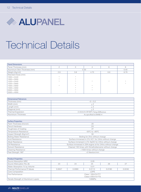![](_page_11_Picture_1.jpeg)

# Technical Details

| <b>Panel Dimensions</b>       |                      |                                                      |                      |     |                      |
|-------------------------------|----------------------|------------------------------------------------------|----------------------|-----|----------------------|
| Panel Thickness (mm)          | $\overline{2}$       | 3                                                    | $\overline{4}$       | 6   | 8                    |
| Aluminium Skin Thickness (mm) | 0.30<br>0.40         |                                                      |                      |     |                      |
| Weight (Kg/m2)                | 2.9                  | 3.8                                                  | 4.75                 | 6.6 | 8.79                 |
| Standard Sizes (mm)           |                      |                                                      |                      |     |                      |
| 1000 x 2440                   | $\frac{1}{\sqrt{2}}$ | $\frac{\partial \mathcal{L}}{\partial \mathbf{r}^*}$ |                      |     |                      |
| 1000 x 3050                   | $\frac{1}{N}$        | A.                                                   |                      |     |                      |
| 1220 x 2440                   | $\rightarrow$        |                                                      | $\frac{1}{\sqrt{2}}$ | *   | $\frac{1}{N}$        |
| 1220 x 3050                   |                      |                                                      |                      |     | $\frac{1}{\sqrt{2}}$ |
| 1500 x 3050                   | $\frac{1}{\sqrt{2}}$ | A.                                                   | ⋇                    |     |                      |
| 1500 x 4050                   |                      |                                                      |                      |     |                      |
| 2000 x 3050                   |                      | A.                                                   | A.                   |     |                      |
| 2000 x 4050                   |                      | $\frac{\partial \mathcal{L}}{\partial \mathbf{r}^*}$ |                      |     |                      |
|                               |                      |                                                      |                      |     |                      |
|                               |                      |                                                      |                      |     |                      |
| Dimensional Tolerances        |                      |                                                      |                      |     |                      |

| Dimensional Tolerances |                                |
|------------------------|--------------------------------|
| Thickness (mm)         | $-0 + 0.2$                     |
| Width (mm)             | $+2$                           |
| Length (mm)            | $+3$                           |
| Diagonal (mm)          | $+5$                           |
| Thermal Expansion      | 2.4mm/m @100°C Temp Difference |
| Aluminium Thickness    | As specified in EN485-4        |

| <b>Surface Properties</b>             |                                                             |
|---------------------------------------|-------------------------------------------------------------|
| Paint Thickness (micron)              | 20                                                          |
| <b>Pencil Hardness</b>                | 2H                                                          |
| <b>Toughness of Coating</b>           | 3T                                                          |
| Temperature Resistance                | $-50^{\circ}$ C to $+90^{\circ}$ C                          |
| Impact Strength (Kg/cm <sup>2</sup> ) | 50                                                          |
| <b>Boiling Water Resistance</b>       | Boiling for 2hrs without change                             |
| Acid Resistance                       | Surface immersed in 2% HC1 for 24hrs without change         |
| Alkali Resistance                     | Surface immersed in 2% NaHO for 24hrs without change        |
| Oil Resistance                        | Surface immersed in 20# engine oil for 24hrs without change |
| Solvent Resistance                    | Cleaned 100 times with Dimethylbenzene without change       |
| <b>Cleaning Resistance</b>            | >1000 times without change                                  |
| Peel Strength 180°                    | >5 Newton/mm                                                |

| <b>Product Properties</b>            |                            |        |        |        |        |  |
|--------------------------------------|----------------------------|--------|--------|--------|--------|--|
| Sound Absorption NRC                 | 0.05                       |        |        |        |        |  |
| Sound Attenuation Rw db              | 23<br>25<br>27<br>24<br>26 |        |        |        |        |  |
| Water Absorption % by Volume         | 0.01                       |        |        |        |        |  |
| Thermal Performance R Values         | 0.0047                     | 0.0080 | 0.0113 | 0.0180 | 0.0246 |  |
| Core Composition                     | LDPE                       |        |        |        |        |  |
| Fire Performance                     | Class 1 BS476 PT7          |        |        |        |        |  |
|                                      | Class 0 BS476 PT6          |        |        |        |        |  |
| Tensile Strength of Aluminium Layers | 149MPa                     |        |        |        |        |  |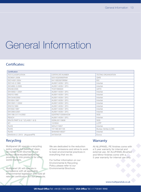# General Information

# **Certificates:**

| <b>CERTIFICATE NUMBER</b> | <b>TESTING ORGANISATION</b>  |
|---------------------------|------------------------------|
| 02515Q20082R4M            | QMS                          |
| 04110E20070R0M            | EIC                          |
| AU09114039-1 (R1)         | Intertek                     |
| AU09114039-1 (R1)         | Intertek                     |
| TC07/090020               | <b>UKTC</b>                  |
| AU09114039-1 (R1)         | Intertek                     |
| AU09114039-1 (R1)         | Intertek                     |
| AU09114039-1 (R1)         | Intertek                     |
| AU09114039-1 (R1)         | Intertek                     |
| AU09114039-1 (R1)         | Intertek                     |
| AU09114039-1 (R1)         | Intertek                     |
| AU09114039-1 (R1)         | Intertek                     |
| AU09114039-1 (R1)         | Intertek                     |
| GZATR071200944CM          | SGS                          |
| AU09114039-1 (R1)         | Intertek                     |
| GZML05110606              | SGS                          |
| 12/2634                   | LCPP                         |
| SZHJ174957                | Intertek                     |
| 101189-601135             | <b>Bureau Veritas (LCIE)</b> |
| SHAH00148327              | Intertek                     |
| 347204/5/6                | Exova                        |
|                           |                              |

# **Recycling**

Multipanel UK operate a recycling policy where full pallets of clean, de-nailed ACM returned to our factory will be recycled back into our products or into products for other world markets.

Multipanel UK will operate in compliance with all applicable environmental legislation and hold all relevant certification for our products. We are dedicated to the reduction of toxic emissions and strive to work to best environmental practices in everything that we do.

For further information on our Environmental & Recycling Policy please refer to our Environmental Brochure.

# **Warranty**

All ALUPANEL PE finishes come with a 5 year warranty for internal and external use. All ALUPANEL Brushed and Mirror finishes come with a 5 year warranty for internal use only.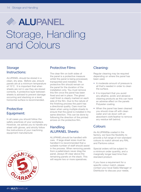# **SEALUPANEL** Storage, Handling and Colours

## **Storage Instructions:**

ALUPANEL should be stored in a clean, dry area. Before use, ensure panels are at a minimum temperature of 15°C. It is important that when sheets are not in use they are stored correctly. A protective layer between sheets is advised to prevent damage occurring and stacking on a level, horizontal surface is recommended.

# **Protective Equipment:**

In all cases you should follow the safety practices of your workplace. However, we advise you to handle any sheet with gloves, and strictly follow the instructions of your machining equipment manufacturer.

![](_page_13_Picture_6.jpeg)

### **Protective Films:**

The clear film on both sides of the panel is a protective measure whilst the panel is being processed, transported and installed. This protective film should remain on the panel for the duration of the installation only. You must remove this film once the panel has been fixed and set in place. The gloss/ matt finish is clearly marked on each side of the film. Due to the nature of the finishing process the paint has a directional quality. Care must be taken when using multiple sheets to ensure that the panel is installed in the same direction. This can be done by following the direction of the printed arrows on the protective film.

# **Handling ALUPANEL Sheets:**

ALUPANEL should be handled with care. If large sheet sizes must be handled it is recommended that a suitable number of staff should assist in the process. When removing panels from a pallet/stack never drag the panel, always lift clear above the remaining panels on the stack. This will require two or more operatives.

### **Cleaning:**

Regular cleaning may be required depending on where the panel has been used.

- A moderate amount of pressure is all that's needed in order to clean the surface.
- It is important that you avoid any alkaline, acidic and abrasive cleaning products as this can have an adverse effect on the panels Polyester coating.
- When the panel has been cleaned you should rinse off with clean water and rub down with an absorbent cloth/leather to remove any residue left behind.

### **Colours**

As ALUPANELis coated in the factory, we have the flexibility to provide a full range of non-standard colours to match almost any RAL and Pantone colour.

Special orders will be subject to a minimum order quantity, and a marginally longer lead time than standard product.

If you have a requirement for a specific colour match, please contact your local Sales Manager or Distributor to discuss your needs.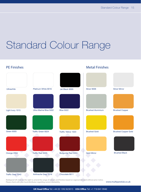# Standard Colour Range

**PE Finishes**

### **Metal Finishes**

| Ultrawhite        | Platinum White 9016    | Jet Black 9005           | Silver 9006              | <b>Silver Mirror</b>       |
|-------------------|------------------------|--------------------------|--------------------------|----------------------------|
|                   |                        |                          |                          |                            |
| Light Ivory 1015  | Ultra Marine Blue 5002 | <b>Blue 5022</b>         | <b>Brushed Aluminium</b> | <b>Brushed Copper</b>      |
|                   |                        |                          |                          |                            |
| Green 6005        | Traffic Green 6024     | Traffic Yellow 1023      | <b>Brushed Gold</b>      | <b>Brushed Copper Gold</b> |
|                   |                        |                          |                          |                            |
| Orange 2004       | Traffic Red 3020       | <b>Burgundy Red 3004</b> | <b>Gold Mirror</b>       | <b>Brushed Black</b>       |
|                   |                        |                          |                          |                            |
| Traffic Grey 7042 | Anthracite Grey 7016   | Chocolate 8011           |                          |                            |

Multipanel UK reserves the right to amend the range of colours and finishes based on regional demand without prior notice. Please check with your local distributor regarding current availability.